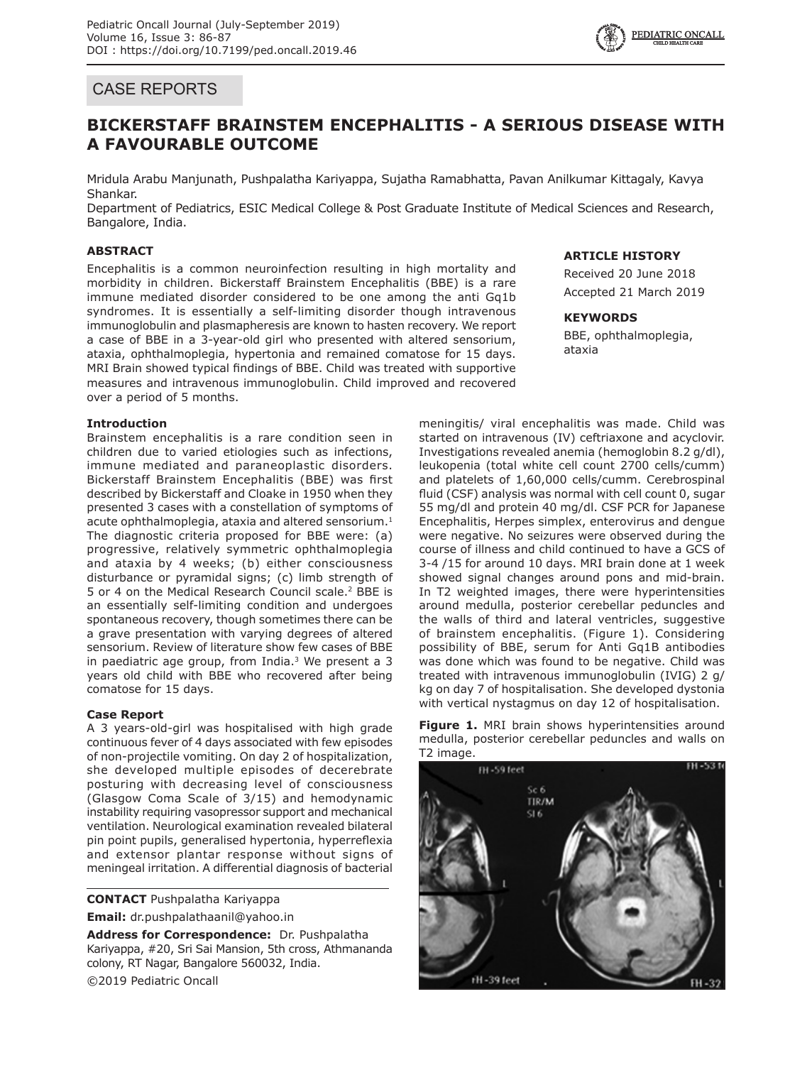# CASE REPORTS

# **BICKERSTAFF BRAINSTEM ENCEPHALITIS - A SERIOUS DISEASE WITH A FAVOURABLE OUTCOME**

Mridula Arabu Manjunath, Pushpalatha Kariyappa, Sujatha Ramabhatta, Pavan Anilkumar Kittagaly, Kavya Shankar.

Department of Pediatrics, ESIC Medical College & Post Graduate Institute of Medical Sciences and Research, Bangalore, India.

# **ABSTRACT**

Encephalitis is a common neuroinfection resulting in high mortality and morbidity in children. Bickerstaff Brainstem Encephalitis (BBE) is a rare immune mediated disorder considered to be one among the anti Gq1b syndromes. It is essentially a self-limiting disorder though intravenous immunoglobulin and plasmapheresis are known to hasten recovery. We report a case of BBE in a 3-year-old girl who presented with altered sensorium, ataxia, ophthalmoplegia, hypertonia and remained comatose for 15 days. MRI Brain showed typical findings of BBE. Child was treated with supportive measures and intravenous immunoglobulin. Child improved and recovered over a period of 5 months.

## **Introduction**

Brainstem encephalitis is a rare condition seen in children due to varied etiologies such as infections, immune mediated and paraneoplastic disorders. Bickerstaff Brainstem Encephalitis (BBE) was first described by Bickerstaff and Cloake in 1950 when they presented 3 cases with a constellation of symptoms of acute ophthalmoplegia, ataxia and altered sensorium. $1$ The diagnostic criteria proposed for BBE were: (a) progressive, relatively symmetric ophthalmoplegia and ataxia by 4 weeks; (b) either consciousness disturbance or pyramidal signs; (c) limb strength of 5 or 4 on the Medical Research Council scale.<sup>2</sup> BBE is an essentially self-limiting condition and undergoes spontaneous recovery, though sometimes there can be a grave presentation with varying degrees of altered sensorium. Review of literature show few cases of BBE in paediatric age group, from India. $3$  We present a 3 years old child with BBE who recovered after being comatose for 15 days.

# **Case Report**

A 3 years-old-girl was hospitalised with high grade continuous fever of 4 days associated with few episodes of non-projectile vomiting. On day 2 of hospitalization, she developed multiple episodes of decerebrate posturing with decreasing level of consciousness (Glasgow Coma Scale of 3/15) and hemodynamic instability requiring vasopressor support and mechanical ventilation. Neurological examination revealed bilateral pin point pupils, generalised hypertonia, hyperreflexia and extensor plantar response without signs of meningeal irritation. A differential diagnosis of bacterial

**CONTACT** Pushpalatha Kariyappa **Email:** dr.pushpalathaanil@yahoo.in

**Address for Correspondence:** Dr. Pushpalatha Kariyappa, #20, Sri Sai Mansion, 5th cross, Athmananda colony, RT Nagar, Bangalore 560032, India. ©2019 Pediatric Oncall

# **ARTICLE HISTORY**

Received 20 June 2018 Accepted 21 March 2019

## **KEYWORDS**

BBE, ophthalmoplegia, ataxia

meningitis/ viral encephalitis was made. Child was started on intravenous (IV) ceftriaxone and acyclovir. Investigations revealed anemia (hemoglobin 8.2 g/dl), leukopenia (total white cell count 2700 cells/cumm) and platelets of 1,60,000 cells/cumm. Cerebrospinal fluid (CSF) analysis was normal with cell count 0, sugar 55 mg/dl and protein 40 mg/dl. CSF PCR for Japanese Encephalitis, Herpes simplex, enterovirus and dengue were negative. No seizures were observed during the course of illness and child continued to have a GCS of 3-4 /15 for around 10 days. MRI brain done at 1 week showed signal changes around pons and mid-brain. In T2 weighted images, there were hyperintensities around medulla, posterior cerebellar peduncles and the walls of third and lateral ventricles, suggestive of brainstem encephalitis. (Figure 1). Considering possibility of BBE, serum for Anti Gq1B antibodies was done which was found to be negative. Child was treated with intravenous immunoglobulin (IVIG) 2 g/ kg on day 7 of hospitalisation. She developed dystonia with vertical nystagmus on day 12 of hospitalisation.

Figure 1. MRI brain shows hyperintensities around medulla, posterior cerebellar peduncles and walls on T2 image.